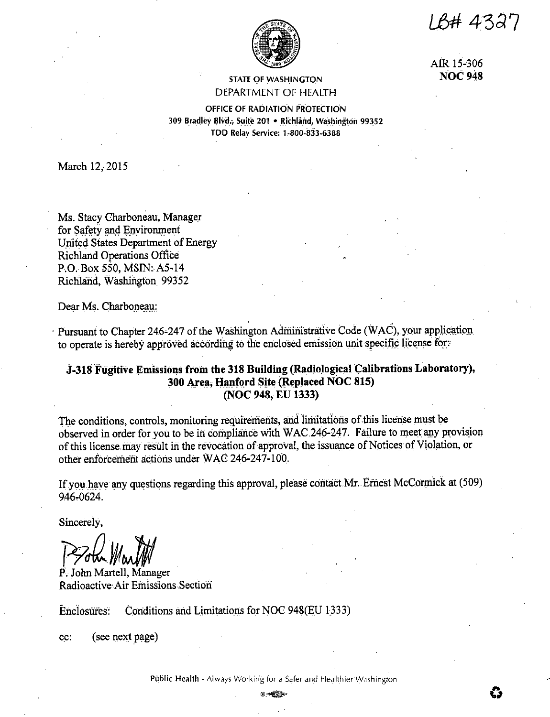IB# 4327



AIR 15-306 **NOC 948** 

**STATE OF WASHINGTON** DEPARTMENT OF HEALTH

OFFICE OF RADIATION PROTECTION 309 Bradley Blvd., Suite 201 · Richländ, Washington 99352 TDD Relay Service: 1-800-833-6388

March 12, 2015

Ms. Stacy Charboneau, Manager for Safety and Environment United States Department of Energy **Richland Operations Office** P.O. Box 550, MSIN: A5-14 Richland, Washington 99352

Dear Ms. Charboneau:

Pursuant to Chapter 246-247 of the Washington Administrative Code (WAC), your application to operate is hereby approved according to the enclosed emission unit specific license for.

# J-318 Fugitive Emissions from the 318 Building (Radiological Calibrations Laboratory), 300 Area, Hanford Site (Replaced NOC 815) (NOC 948, EU 1333)

The conditions, controls, monitoring requirements, and limitations of this license must be observed in order for you to be in compliance with WAC 246-247. Failure to meet any provision of this license may result in the revocation of approval, the issuance of Notices of Violation, or other enforcement actions under WAC 246-247-100.

If you have any questions regarding this approval, please contact Mr. Ernest McCormick at (509) 946-0624.

Sincerely,

P. John Martell, Manager Radioactive Air Emissions Section

Enclosures: Conditions and Limitations for NOC 948(EU 1333)

cc: (see next page)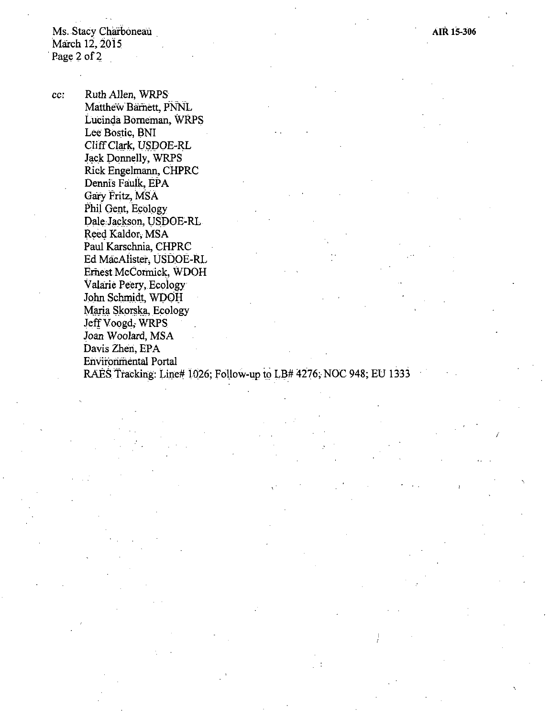Ms. Stacy Charboneau March  $12, 2015$ <br>Page 2 of 2

cc: Ruth Allen, WRPS Matthew Barnett, PNNL Lucinda Borneman, WRPS Lee Bostic, BNI Cliff Clark, USDOE-RL Jack Donnelly, WRPS Rick Engelmann, CHPRC Dennis Faulk, EPA Gary Fritz, MSA Phil Gent, Ecology Dale Jackson, USDOE-RL Reed Kaldor, MSA Paul Karschnia, CHPRC Ed MacAlister, USDOE-RL Ernest.McCormick, WDOH Valarie Peery, Ecoiogy John Schmidt, WDOH Maria Skorska, Ecology Jeff Voogd, WRPS Joan Woolard, MSA Davis Zhen, EPA Environmental Portal

RAES Tracking: Line# 1026; Follow-up to LB# 4276; NOC 948; EU 1333

*I*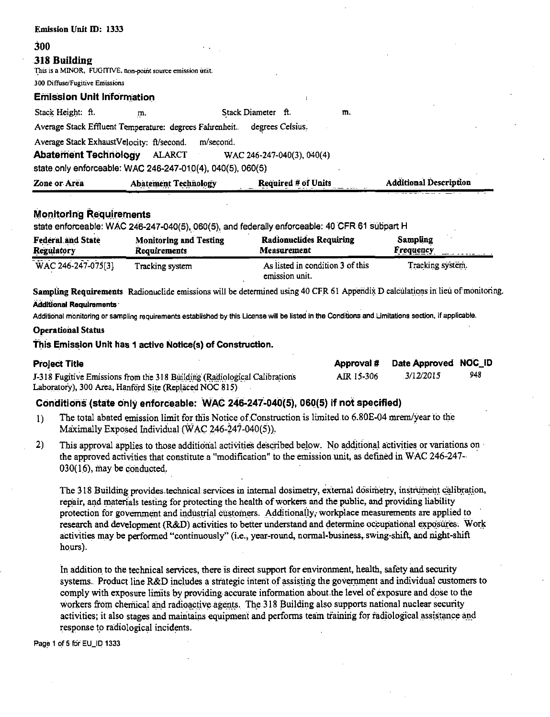| <b>Emission Unit ID: 1333</b>    |                                                                                                                                |                            |    |                               |
|----------------------------------|--------------------------------------------------------------------------------------------------------------------------------|----------------------------|----|-------------------------------|
| 300                              | $\sim 100$                                                                                                                     |                            |    |                               |
| 318 Building                     | This is a MINOR, FUGITIVE, non-point source emission unit.                                                                     |                            |    |                               |
| 300 Diffuse/Fugitive Emissions   |                                                                                                                                |                            |    |                               |
| <b>Emission Unit Information</b> |                                                                                                                                |                            |    |                               |
| Stack Height: ft.                | m.                                                                                                                             | Stack Diameter ft.         | m. |                               |
|                                  | Average Stack Effluent Temperature: degrees Fahrenheit. degrees Celsius.                                                       |                            |    |                               |
| <b>Abatement Technology</b>      | Average Stack ExhaustVelocity: ft/second.<br>m/second.<br>ALARCT<br>state only enforceable: WAC 246-247-010(4), 040(5), 060(5) | WAC 246-247-040(3), 040(4) |    |                               |
| Zone or Area                     | <b>Abatement Technology</b>                                                                                                    | <b>Required # of Units</b> |    | <b>Additional Description</b> |

### **Monitoring Requirements**

state enforceable: WAC 246-247-040(5), 060(5), and federally enforceable: 40 CFR 61 subpart H

| <b>Federal and State</b>                                       | <b>Monitoring and Testing</b> | <b>Radionuclides Requiring</b>                     | Sampling         |
|----------------------------------------------------------------|-------------------------------|----------------------------------------------------|------------------|
| Regulatory                                                     | Requirements                  | Measurement                                        | <b>Frequency</b> |
| <b><i><u><u>A</u></u></i></b> <i>A A</i><br>WAC 246-247-075[3] | Tracking system               | As listed in condition 3 of this<br>emission unit. | Tracking system. |

Sampling Requirements Radionuclide emissions will be determined using 40 CFR 61 Appendix D calculations in lieu of monitoring. **Additional Requirements** 

Additional monitoring or sampling requirements established by this License will be listed in the Conditions and Limitations section, if applicable.

#### **Operational Status**

#### This Emission Unit has 1 active Notice(s) of Construction.

| <b>Project Title</b>                                                      | Approval # | Date Approved NOC_ID |     |
|---------------------------------------------------------------------------|------------|----------------------|-----|
| J-318 Fugitive Emissions from the 318 Building (Radiological Calibrations | AIR 15-306 | 3/12/2015            | 948 |
| Laboratory), 300 Area, Hanford Site (Replaced NOC 815)                    |            |                      |     |

## Conditions (state only enforceable: WAC 246-247-040(5), 060(5) if not specified)

- The total abated emission limit for this Notice of Construction is limited to 6.80E-04 mrem/year to the  $1)$ Maximally Exposed Individual (WAC 246-247-040(5)).
- $2)$ This approval applies to those additional activities described below. No additional activities or variations on the approved activities that constitute a "modification" to the emission unit, as defined in WAC 246-247-030(16), may be conducted.

The 318 Building provides technical services in internal dosimetry, external dosimetry, instrument calibration, repair, and materials testing for protecting the health of workers and the public, and providing liability protection for government and industrial customers. Additionally, workplace measurements are applied to research and development (R&D) activities to better understand and determine occupational exposures. Work activities may be performed "continuously" (i.e., year-round, normal-business, swing-shift, and night-shift hours).

In addition to the technical services, there is direct support for environment, health, safety and security systems. Product line R&D includes a strategic intent of assisting the government and individual customers to comply with exposure limits by providing accurate information about the level of exposure and dose to the workers from chemical and radioactive agents. The 318 Building also supports national nuclear security activities; it also stages and maintains equipment and performs team training for radiological assistance and response to radiological incidents.

Page 1 of 5 for EU\_ID 1333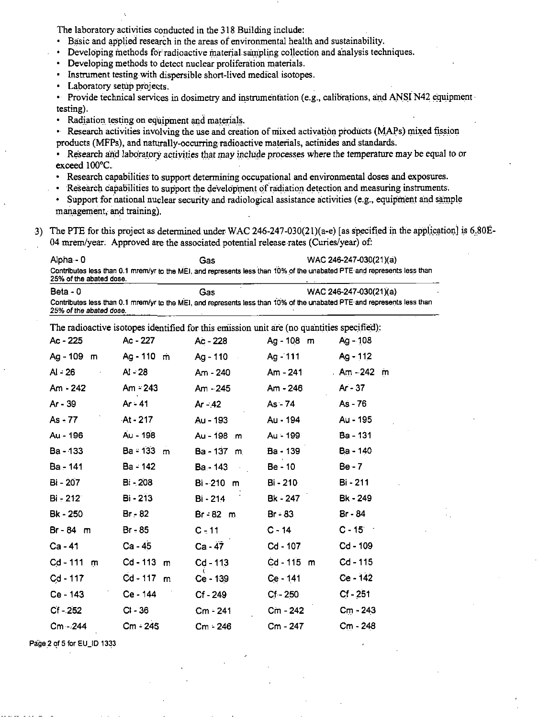The laboratory activities conducted in the 318 Building include:

- Basic and applied research in the areas of environmental health and sustainability.
- Developing methods for radioactive material sampling collection and analysis techniques.  $\bullet$  .
- Developing methods to detect nuclear proliferation materials.
- Instrument testing with dispersible short-lived medical isotopes.
- Laboratory setup projects.  $\bullet$  .
- Provide technical services in dosimetry and instrumentation (e.g., calibrations, and ANSI N42 equipment testing).
- Radiation testing on equipment and materials.  $\bullet$  .
- Research activities involving the use and creation of mixed activation products (MAPs) mixed fission products (MFPs), and naturally-occurring radioactive materials, actinides and standards.
- Research and laboratory activities that may include processes where the temperature may be equal to or  $\bullet$ exceed 100°C.
- $\bullet$  . Research capabilities to support determining occupational and environmental doses and exposures.
- Research capabilities to support the development of radiation detection and measuring instruments.  $\bullet$
- Support for national nuclear security and radiological assistance activities (e.g., equipment and sample  $\bullet$  . management, and training).
- 3) The PTE for this project as determined under WAC 246-247-030(21)(a-e) [as specified in the application] is 6.80E-04 mrem/year. Approved are the associated potential release rates (Curies/year) of:

| Alpha - 0               | Gas | WAC 246-247-030(21)(a)                                                                                                  |
|-------------------------|-----|-------------------------------------------------------------------------------------------------------------------------|
|                         |     | Contributes less than 0.1 mrem/yr to the MEI, and represents less than 10% of the unabated PTE and represents less than |
| 25% of the abated dose. |     |                                                                                                                         |

 $Beta - 0$ Gas WAC 246-247-030(21)(a) Contributes less than 0.1 mrem/yr to the MEI, and represents less than 10% of the unabated PTE and represents less than 25% of the abated dose.

The radioactive isotopes identified for this emission unit are (no quantities specified):

| Ac - 225      | Ac - 227                   | Ac - 228       | Ag - 108 m | $Ag - 108$      |
|---------------|----------------------------|----------------|------------|-----------------|
| Ag - 109 m    | Ag - 110 m                 | Ag - 110       | Ag - 111   | Ag - 112        |
| Al - 26       | AI - 28                    | Am - 240       | Am - 241   | Am - 242 m      |
| Am - 242      | $Am = 243$                 | Am - 245       | Am - 246   | Ar - 37         |
| Ar - 39       | Ar - 41                    | Ar - 42        | As - 74    | As - 76         |
| $As - 77$     | $-At - 217$                | Au - 193       | Au - 194   | Au - 195        |
| Au - 196      | Au - 198                   | Au - 198 m     | Au - 199   | <b>Ba</b> - 131 |
| Ba - 133      | $Ba = 133 \, m$            | $Ba - 137 \ m$ | Ba - 139   | Ba - 140        |
| Ba - 141      | Ba - 142                   | Ba - 143       | Be - 10    | Be - 7          |
| Bi - 207      | Bi - 208                   | Bi-210 m       | Bi - 210   | Bi - 211        |
| Bi - 212      | Bi - 213                   | Bi - 214       | Bk - 247   | Bk - 249        |
| Bk - 250      | Br - 82                    | $Br - 82 \ m$  | Br - 83    | Br - 84         |
| Br-84 m       | $Br - 85$                  | $C - 11$       | C - 14     | $C - 15$        |
| Ca - 41       | Ca - 45                    | $Ca - 47$      | Cd - 107   | $Cd - 109$      |
| Cd - 111<br>m | $Cd - 113$<br>m            | $Cd - 113$     | Cd-115 m   | Cd - 115        |
| $Cd - 117$    | $Cd - 117$<br>$\mathsf{m}$ | Ce - 139       | Ce - 141   | $Ce - 142$      |
| Ce - 143      | Ce - 144                   | Cf - 249       | $Cf - 250$ | $Cf - 251$      |
| $Cf - 252$    | $CI - 36$                  | Cm - 241       | Cm - 242   | $C_{11} - 243$  |
| $Cm - 244$    | Cm - 245                   | Cm - 246       | Cm - 247   | Cm - 248        |
|               |                            |                |            |                 |

Page 2 of 5 for EU\_ID 1333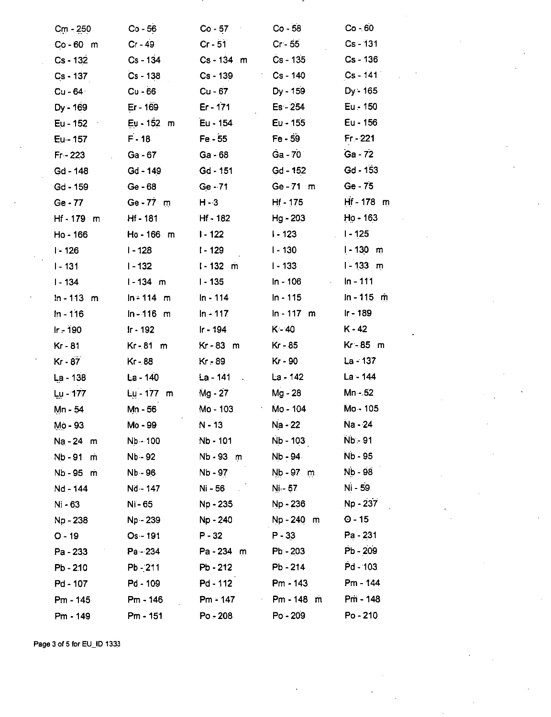| $C_{\rm m}$ - 250 | $Co - 56$    | $Co - 57$<br>$\sim$ | $Co - 58$                           | $Co - 60$                |
|-------------------|--------------|---------------------|-------------------------------------|--------------------------|
| $Co - 60$ m       | Cr - 49      | $Cr - 51$           | $Cr - 55$                           | Cs - 131                 |
| Cs - 132          | Cs - 134     | $Cs - 134$ m        | Cs - 135                            | Cs - 136                 |
| Cs - 137          | $Cs - 138$   | $Cs - 139$          | Cs - 140                            | $Cs - 141$               |
| Cu - 64           | $Cu - 66$    | Cu - 67             | Dy - 159                            | $Dy - 165$               |
| Dy - 169          | Er - 169     | $Er - 171$          | Es - 254                            | Eu - 150                 |
| Eu - 152          | Eu - 152 m   | Eu - 154            | Eu - 155                            | Eu - 156                 |
| $Eu - 157$        | $F - 18$     | $Fe - 55$           | $Fe - 59$                           | $Fr - 221$               |
| $Fr - 223$        | Ga - 67      | Ga - 68             | $Ga - 70^\circ$                     | Ga - 72                  |
| Gd - 148          | Gd - 149     | $Gd - 151$          | $Gd - 152$                          | $Gd - 153$               |
| Gd - 159          | Ge-68        | Ge - 71             | $Ge - 71$ m                         | Ge - 75                  |
| Ge - 77           | Ge-77 m      | $H - 3$             | $Hf - 175$                          | Hf-178 m                 |
| $Hf - 179$ m      | Hf - 181     | Hf - 182            | Hg - 203                            | $Ho - 163$               |
| Ho - 166          | Ho-166 m     | $I - 122$           | $I - 123$                           | $1 - 125$                |
| $1 - 126$         | I - 128      | I - 129             | $1 - 130$                           | <u>l</u> - 130<br>m      |
| $1 - 131$         | l - 132      | $1 - 132$ m         | $1 - 133$                           | $1 - 133$ m              |
| $1 - 134$         | $1 - 134$ m  | $1 - 135$           | In - 106                            | In - 111<br>$\epsilon$ . |
| $ln - 113$ m      | $ln = 114$ m | In - 114            | In - 115                            | $ln - 115$ m             |
| $ln - 116$        | $ln - 116$ m | $In - 117$          | $ln - 117$<br>m                     | Ir - 189                 |
| $Ir - 190$        | Ir - 192     | Ir - 194            | $K - 40$                            | $K - 42$                 |
| Kr - 81           | $Kr-81$ m    | Kr - 83<br>m        | Kr - 85                             | Kr-85 m                  |
| $Kr - 87$         | Kr - 88      | Kr - 89             | Kr - 90                             | La - 137                 |
| La - 138          | La - 140     | La - 141            | $La = 142$                          | $La - 14.4$              |
| Lu - 177          | Lu - 177 m   | Mg - 27             | Mg - 28                             | Mn - 52                  |
| Mn - 54           | Mn - 56      | Mo - 103            | Mo - 104                            | Mo - 105                 |
| Mo - 93           | Mo - 99      | N - 13              | Na - 22                             | Na - 24                  |
| Na - 24 m         | Nb - 100     | Nb - 101            | Nb - 103                            | Nb - 91                  |
| Nb - 91<br>m      | Nb - 92      | Nb-93 m             | Nb - 94                             | Nb - 95                  |
| Nb - 95<br>m      | Nb - 96      | Nb - 97             | $Nb - 97$ m                         | Nb - 98                  |
| Nd - 144          | Nd - 147     | $Ni - 56$           | Ni - 57                             | Ni - 59                  |
| Ni - 63           | Ni - 65      | Np - 235            | Np - 236                            | Np - 237                 |
| Np - 238          | Np - 239     | Np - 240            | $Np - 240$ m                        | $O - 15$                 |
| $O - 19$          | Os - 191     | P - 32              | $P - 33$                            | Pa - 231                 |
| Pa - 233          | Pa - 234     | Pa-234 m            | $Pb - 203$                          | Pb - 209                 |
| $Pb - 2.10$       | $Pb - 211$   | $Pb - 212$          | Pb - 214                            | Pd - 103                 |
| Pd - 107          | Pd - 109     | Pd - 112            | Pm - 143                            | Pm - 144                 |
| Pm - 145          | Pm - 146     | $Pm = 147$          | Pm-148 m<br>$\mathbf{r}_{\rm{max}}$ | Pm - 148                 |
| Pm - 149          | Pm - 151     | Po - 208            | Po - 209                            | Po-210                   |

Page 3 of 5 for EU\_ID 1333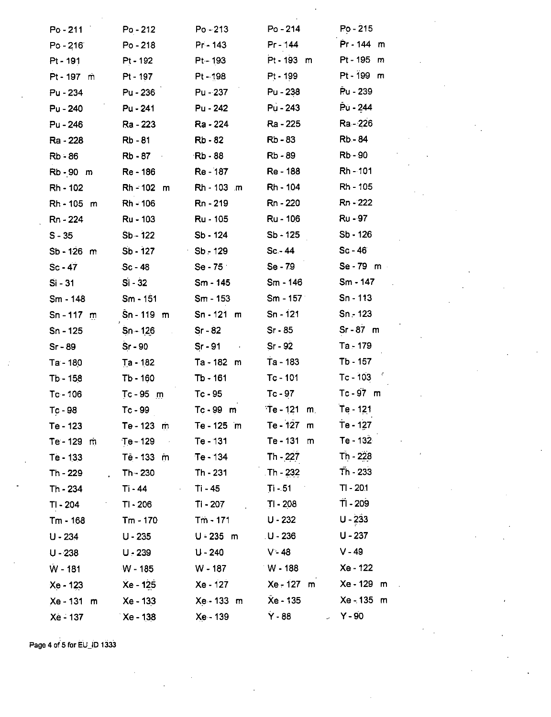| $Po - 211$   | $Po - 212$                  | $Po - 213$         | Po - 214                      | Po - 215     |
|--------------|-----------------------------|--------------------|-------------------------------|--------------|
| $Po - 216$   | $Po - 218$                  | Pr - 143           | Pr - 144                      | Pr - 144 m   |
| Pt - 191     | Pt - 192                    | Pt-193             | Pt - 193 m                    | Pt-195 m     |
| Pt - 197 m   | Pt - 197                    | Pt - 198           | Pt - 199                      | $Pt - 199$ m |
| Pu - 234     | Pu - 236                    | Pu - 237           | Pu - 238                      | Pu - 239     |
| Pu - 240     | Pu - 241                    | Pu - 242           | Pu - 243                      | Pu - 244     |
| Pu - 246     | Ra - 223                    | Ra - 224           | Ra - 225                      | Ra - 226     |
| Ra - 228     | Rb-81                       | <b>Rb</b> - 82     | <b>Rb-83</b>                  | Rb - 84      |
| $Rb - 86$    | <b>Rb</b> - 87              | <b>Rb</b> - 88     | Rb - 89                       | <b>Rb-90</b> |
| Rb-90 m      | Re - 186                    | Re - 187           | Re - 188                      | Rh - 101     |
| Rh - 102     | $Rh - 102$ m                | Rh - 103 m         | <b>Rh</b> - 104               | Rh - 105     |
| Rh-105 m     | Rh - 106                    | Rn - 219           | Rn - 220                      | Rn - 222     |
| Rn - 224     | Ru - 103                    | Ru - 105           | Ru - 106                      | Ru - 97      |
| $S - 35$     | $Sb - 122$                  | $Sb - 124$         | Sb - 125                      | $Sb - 126$   |
| $Sb - 126$ m | $Sb - 127$                  | $Sb - 129$         | $Sc - 44$                     | $Sc - 46$    |
| $Sc - 47$    | Sc - 48                     | $Se-75$            | $Se - 79$                     | Se-79 m      |
| Si - 31      | $Si - 32$                   | Sm - 145           | Sm - 146                      | $Sm - 147$   |
| Sm - 148     | $Sm - 151$                  | Sm - 153           | $Sm - 157$                    | Sn - 113     |
| $Sn - 117$ m | Sn-119 m                    | $Sn - 121$ m       | $Sn - 121$                    | $Sn - 123$   |
| Sn - 125     | $Sn - 126$                  | $Sr - 82$          | $Sr - 85$                     | $Sr - 87$ m  |
| $Sr - 89$    | $Sr - 90$                   | Sr - 91<br>$\cdot$ | $Sr - 92$                     | Ta - 179     |
| Ta - 180     | $Ta - 182$                  | Ta - 182 m         | Ta - 183                      | Tb - 157     |
| Tb - 158     | $Tb - 160$                  | Tb - 161           | Tc-101                        | $Tc - 103$   |
| $Tc - 106$   | $Tc - 95$ m                 | Tc-95              | $Tc - 97$                     | $Tc - 97$ m  |
| Tc - 98      | $Tc - 99$                   | Tc-99 m            | $T_e - 121$<br>m <sub>1</sub> | Te - 121     |
| Te - 123     | Te - 123 m                  | Te - 125 m         | Te - 127 m                    | Te - 127     |
| Te-129 m     | $Te - 129$<br>$\sim$ $\sim$ | Te - 131           | $Te - 131$ m                  | Te - 132     |
| Te - 133     | Tê - 133 m                  | Te - 134           | Th - 227                      | Th - 228     |
| Th - 229     | Th - 230                    | Th - 231           | $\sqrt{1}h - 232$             | $Th - 233$   |
| Th - 234     | Ti - 44<br>$\cdot$          | Ti - 45            | $Ti - 51$                     | $TI - 20.1$  |
| TI - 204     | TI - 206                    | TI - 207           | TI - 208                      | $T1 - 209$   |
| Tm - 168     | $Tm - 170$                  | $Tm - 171$         | $U - 232$                     | $U - 233$    |
| $U - 234$    | $U - 235$                   | $U - 235$ m        | . U - 236                     | $U - 237$    |
| $U - 238$    | $U - 239$                   | $U - 240$          | $V - 48$                      | $V - 49$     |
| $W - 181$    | W - 185                     | W - 187            | $W - 188$                     | Xe - 122     |
| $Xe - 123$   | Xe - 125                    | Xe - 127           | Xe - 127 m                    | Xe - 129 m   |
| Xe - 131 m   | Xe - 133                    | Xe - 133 m         | Xe - 135                      | $Xe - 135$ m |
| Xe - 137     | Xe - 138                    | Xe - 139           | Y - 88                        | Y - 90       |
|              |                             |                    |                               |              |

Page 4 of 5 for EU\_ID 1333